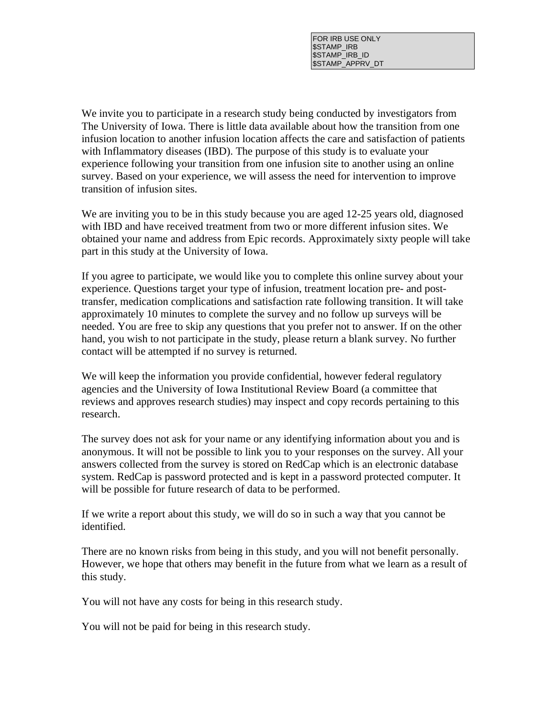FOR IRB USE ONLY \$STAMP\_IRB \$STAMP\_IRB\_ID \$STAMP\_APPRV\_DT

We invite you to participate in a research study being conducted by investigators from The University of Iowa. There is little data available about how the transition from one infusion location to another infusion location affects the care and satisfaction of patients with Inflammatory diseases (IBD). The purpose of this study is to evaluate your experience following your transition from one infusion site to another using an online survey. Based on your experience, we will assess the need for intervention to improve transition of infusion sites.

We are inviting you to be in this study because you are aged 12-25 years old, diagnosed with IBD and have received treatment from two or more different infusion sites. We obtained your name and address from Epic records. Approximately sixty people will take part in this study at the University of Iowa.

If you agree to participate, we would like you to complete this online survey about your experience. Questions target your type of infusion, treatment location pre- and posttransfer, medication complications and satisfaction rate following transition. It will take approximately 10 minutes to complete the survey and no follow up surveys will be needed. You are free to skip any questions that you prefer not to answer. If on the other hand, you wish to not participate in the study, please return a blank survey. No further contact will be attempted if no survey is returned.

We will keep the information you provide confidential, however federal regulatory agencies and the University of Iowa Institutional Review Board (a committee that reviews and approves research studies) may inspect and copy records pertaining to this research.

The survey does not ask for your name or any identifying information about you and is anonymous. It will not be possible to link you to your responses on the survey. All your answers collected from the survey is stored on RedCap which is an electronic database system. RedCap is password protected and is kept in a password protected computer. It will be possible for future research of data to be performed.

If we write a report about this study, we will do so in such a way that you cannot be identified.

There are no known risks from being in this study, and you will not benefit personally. However, we hope that others may benefit in the future from what we learn as a result of this study.

You will not have any costs for being in this research study.

You will not be paid for being in this research study.